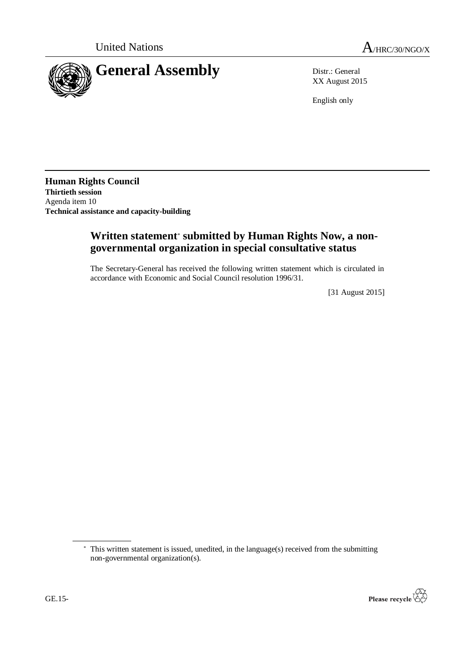

XX August 2015

English only

**Human Rights Council Thirtieth session** Agenda item 10 **Technical assistance and capacity-building**

# **Written statement**\* **submitted by Human Rights Now, a nongovernmental organization in special consultative status**

The Secretary-General has received the following written statement which is circulated in accordance with Economic and Social Council resolution 1996/31.

[31 August 2015]

<sup>\*</sup> This written statement is issued, unedited, in the language(s) received from the submitting non-governmental organization(s).

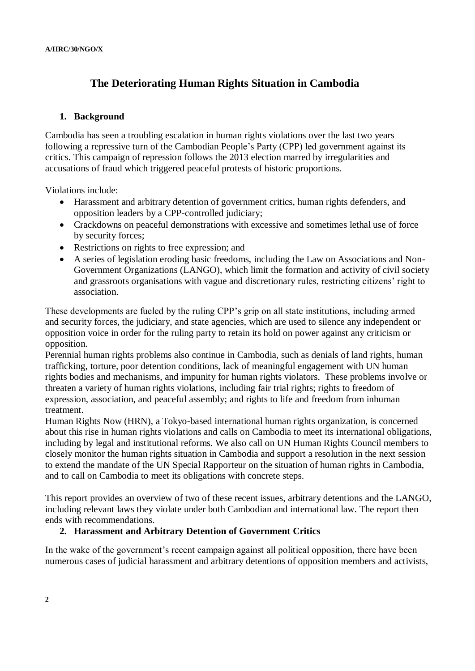# **The Deteriorating Human Rights Situation in Cambodia**

### **1. Background**

Cambodia has seen a troubling escalation in human rights violations over the last two years following a repressive turn of the Cambodian People's Party (CPP) led government against its critics. This campaign of repression follows the 2013 election marred by irregularities and accusations of fraud which triggered peaceful protests of historic proportions.

Violations include:

- Harassment and arbitrary detention of government critics, human rights defenders, and opposition leaders by a CPP-controlled judiciary;
- Crackdowns on peaceful demonstrations with excessive and sometimes lethal use of force by security forces;
- Restrictions on rights to free expression; and
- A series of legislation eroding basic freedoms, including the Law on Associations and Non-Government Organizations (LANGO), which limit the formation and activity of civil society and grassroots organisations with vague and discretionary rules, restricting citizens' right to association.

These developments are fueled by the ruling CPP's grip on all state institutions, including armed and security forces, the judiciary, and state agencies, which are used to silence any independent or opposition voice in order for the ruling party to retain its hold on power against any criticism or opposition.

Perennial human rights problems also continue in Cambodia, such as denials of land rights, human trafficking, torture, poor detention conditions, lack of meaningful engagement with UN human rights bodies and mechanisms, and impunity for human rights violators. These problems involve or threaten a variety of human rights violations, including fair trial rights; rights to freedom of expression, association, and peaceful assembly; and rights to life and freedom from inhuman treatment.

Human Rights Now (HRN), a Tokyo-based international human rights organization, is concerned about this rise in human rights violations and calls on Cambodia to meet its international obligations, including by legal and institutional reforms. We also call on UN Human Rights Council members to closely monitor the human rights situation in Cambodia and support a resolution in the next session to extend the mandate of the UN Special Rapporteur on the situation of human rights in Cambodia, and to call on Cambodia to meet its obligations with concrete steps.

This report provides an overview of two of these recent issues, arbitrary detentions and the LANGO, including relevant laws they violate under both Cambodian and international law. The report then ends with recommendations.

#### **2. Harassment and Arbitrary Detention of Government Critics**

In the wake of the government's recent campaign against all political opposition, there have been numerous cases of judicial harassment and arbitrary detentions of opposition members and activists,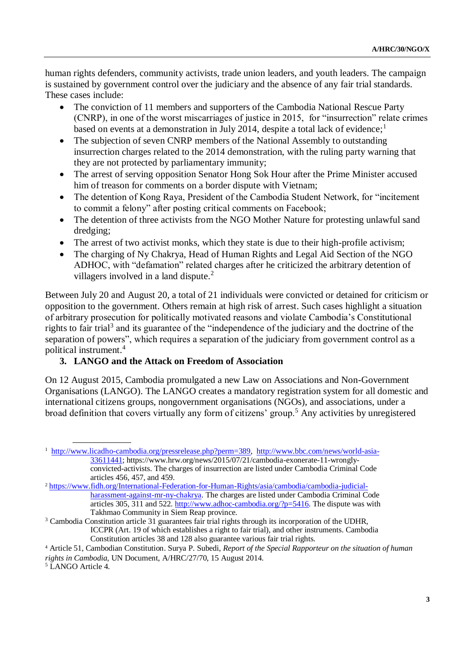human rights defenders, community activists, trade union leaders, and youth leaders. The campaign is sustained by government control over the judiciary and the absence of any fair trial standards. These cases include:

- The conviction of 11 members and supporters of the Cambodia National Rescue Party (CNRP), in one of the worst miscarriages of justice in 2015, for "insurrection" relate crimes based on events at a demonstration in July 2014, despite a total lack of evidence;<sup>1</sup>
- The subjection of seven CNRP members of the National Assembly to outstanding insurrection charges related to the 2014 demonstration, with the ruling party warning that they are not protected by parliamentary immunity;
- The arrest of serving opposition Senator Hong Sok Hour after the Prime Minister accused him of treason for comments on a border dispute with Vietnam;
- The detention of Kong Raya, President of the Cambodia Student Network, for "incitement to commit a felony" after posting critical comments on Facebook;
- The detention of three activists from the NGO Mother Nature for protesting unlawful sand dredging;
- The arrest of two activist monks, which they state is due to their high-profile activism;
- The charging of Ny Chakrya, Head of Human Rights and Legal Aid Section of the NGO ADHOC, with "defamation" related charges after he criticized the arbitrary detention of villagers involved in a land dispute. $^{2}$

Between July 20 and August 20, a total of 21 individuals were convicted or detained for criticism or opposition to the government. Others remain at high risk of arrest. Such cases highlight a situation of arbitrary prosecution for politically motivated reasons and violate Cambodia's Constitutional rights to fair trial<sup>3</sup> and its guarantee of the "independence of the judiciary and the doctrine of the separation of powers", which requires a separation of the judiciary from government control as a political instrument.<sup>4</sup>

## **3. LANGO and the Attack on Freedom of Association**

On 12 August 2015, Cambodia promulgated a new Law on Associations and Non-Government Organisations (LANGO). The LANGO creates a mandatory registration system for all domestic and international citizens groups, nongovernment organisations (NGOs), and associations, under a broad definition that covers virtually any form of citizens' group.<sup>5</sup> Any activities by unregistered

<sup>1</sup> [http://www.licadho-cambodia.org/pressrelease.php?perm=389,](http://www.licadho-cambodia.org/pressrelease.php?perm=389) [http://www.bbc.com/news/world-asia-](http://www.bbc.com/news/world-asia-33611441)[33611441;](http://www.bbc.com/news/world-asia-33611441) https://www.hrw.org/news/2015/07/21/cambodia-exonerate-11-wronglyconvicted-activists. The charges of insurrection are listed under Cambodia Criminal Code articles 456, 457, and 459.

<sup>2</sup> [https://www.fidh.org/International-Federation-for-Human-Rights/asia/cambodia/cambodia-judicial](https://www.fidh.org/International-Federation-for-Human-Rights/asia/cambodia/cambodia-judicial-harassment-against-mr-ny-chakrya)[harassment-against-mr-ny-chakrya.](https://www.fidh.org/International-Federation-for-Human-Rights/asia/cambodia/cambodia-judicial-harassment-against-mr-ny-chakrya) The charges are listed under Cambodia Criminal Code articles 305, 311 and 522. [http://www.adhoc-cambodia.org/?p=5416.](http://www.adhoc-cambodia.org/?p=5416) The dispute was with Takhmao Community in Siem Reap province.

<sup>&</sup>lt;sup>3</sup> Cambodia Constitution article 31 guarantees fair trial rights through its incorporation of the UDHR, ICCPR (Art. 19 of which establishes a right to fair trial), and other instruments. Cambodia Constitution articles 38 and 128 also guarantee various fair trial rights.

<sup>4</sup> Article 51, Cambodian Constitution. Surya P. Subedi, *Report of the Special Rapporteur on the situation of human rights in Cambodia,* UN Document, A/HRC/27/70, 15 August 2014.

<sup>&</sup>lt;sup>5</sup> LANGO Article 4.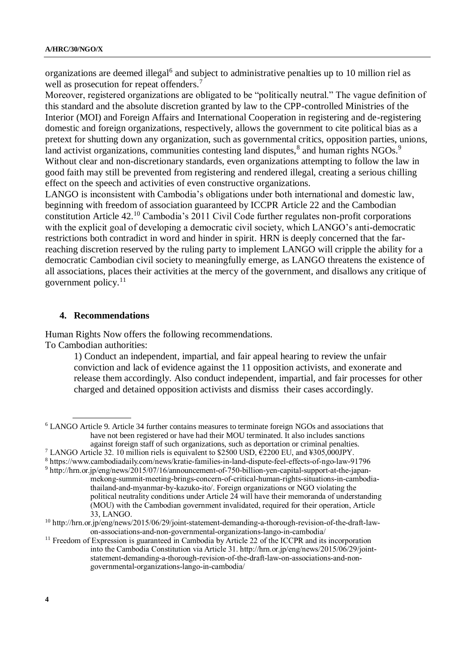organizations are deemed illegal<sup>6</sup> and subject to administrative penalties up to 10 million riel as well as prosecution for repeat offenders.<sup>7</sup>

Moreover, registered organizations are obligated to be "politically neutral." The vague definition of this standard and the absolute discretion granted by law to the CPP-controlled Ministries of the Interior (MOI) and Foreign Affairs and International Cooperation in registering and de-registering domestic and foreign organizations, respectively, allows the government to cite political bias as a pretext for shutting down any organization, such as governmental critics, opposition parties, unions, land activist organizations, communities contesting land disputes,<sup>8</sup> and human rights NGOs.<sup>9</sup> Without clear and non-discretionary standards, even organizations attempting to follow the law in good faith may still be prevented from registering and rendered illegal, creating a serious chilling effect on the speech and activities of even constructive organizations.

LANGO is inconsistent with Cambodia's obligations under both international and domestic law, beginning with freedom of association guaranteed by ICCPR Article 22 and the Cambodian constitution Article 42.<sup>10</sup> Cambodia's 2011 Civil Code further regulates non-profit corporations with the explicit goal of developing a democratic civil society, which LANGO's anti-democratic restrictions both contradict in word and hinder in spirit. HRN is deeply concerned that the farreaching discretion reserved by the ruling party to implement LANGO will cripple the ability for a democratic Cambodian civil society to meaningfully emerge, as LANGO threatens the existence of all associations, places their activities at the mercy of the government, and disallows any critique of government policy. $11$ 

#### **4. Recommendations**

Human Rights Now offers the following recommendations. To Cambodian authorities:

> 1) Conduct an independent, impartial, and fair appeal hearing to review the unfair conviction and lack of evidence against the 11 opposition activists, and exonerate and release them accordingly. Also conduct independent, impartial, and fair processes for other charged and detained opposition activists and dismiss their cases accordingly.

<sup>6</sup> LANGO Article 9. Article 34 further contains measures to terminate foreign NGOs and associations that have not been registered or have had their MOU terminated. It also includes sanctions against foreign staff of such organizations, such as deportation or criminal penalties.

<sup>&</sup>lt;sup>7</sup> LANGO Article 32. 10 million riels is equivalent to \$2500 USD,  $\hat{\epsilon}$ 2200 EU, and ¥305,000JPY.

<sup>8</sup> https://www.cambodiadaily.com/news/kratie-families-in-land-dispute-feel-effects-of-ngo-law-91796

<sup>9</sup> [http://hrn.or.jp/eng/news/2015/07/16/announcement-of-750-billion-yen-capital-support-at-the-japan](http://hrn.or.jp/eng/news/2015/07/16/announcement-of-750-billion-yen-capital-support-at-the-japan-mekong-summit-meeting-brings-concern-of-critical-human-rights-situations-in-cambodia-thailand-and-myanmar-by-kazuko-ito/)[mekong-summit-meeting-brings-concern-of-critical-human-rights-situations-in-cambodia](http://hrn.or.jp/eng/news/2015/07/16/announcement-of-750-billion-yen-capital-support-at-the-japan-mekong-summit-meeting-brings-concern-of-critical-human-rights-situations-in-cambodia-thailand-and-myanmar-by-kazuko-ito/)[thailand-and-myanmar-by-kazuko-ito/.](http://hrn.or.jp/eng/news/2015/07/16/announcement-of-750-billion-yen-capital-support-at-the-japan-mekong-summit-meeting-brings-concern-of-critical-human-rights-situations-in-cambodia-thailand-and-myanmar-by-kazuko-ito/) Foreign organizations or NGO violating the political neutrality conditions under Article 24 will have their memoranda of understanding (MOU) with the Cambodian government invalidated, required for their operation, Article 33, LANGO.

<sup>10</sup> http://hrn.or.jp/eng/news/2015/06/29/joint-statement-demanding-a-thorough-revision-of-the-draft-lawon-associations-and-non-governmental-organizations-lango-in-cambodia/

<sup>&</sup>lt;sup>11</sup> Freedom of Expression is guaranteed in Cambodia by Article 22 of the ICCPR and its incorporation into the Cambodia Constitution via Article 31. http://hrn.or.jp/eng/news/2015/06/29/jointstatement-demanding-a-thorough-revision-of-the-draft-law-on-associations-and-nongovernmental-organizations-lango-in-cambodia/